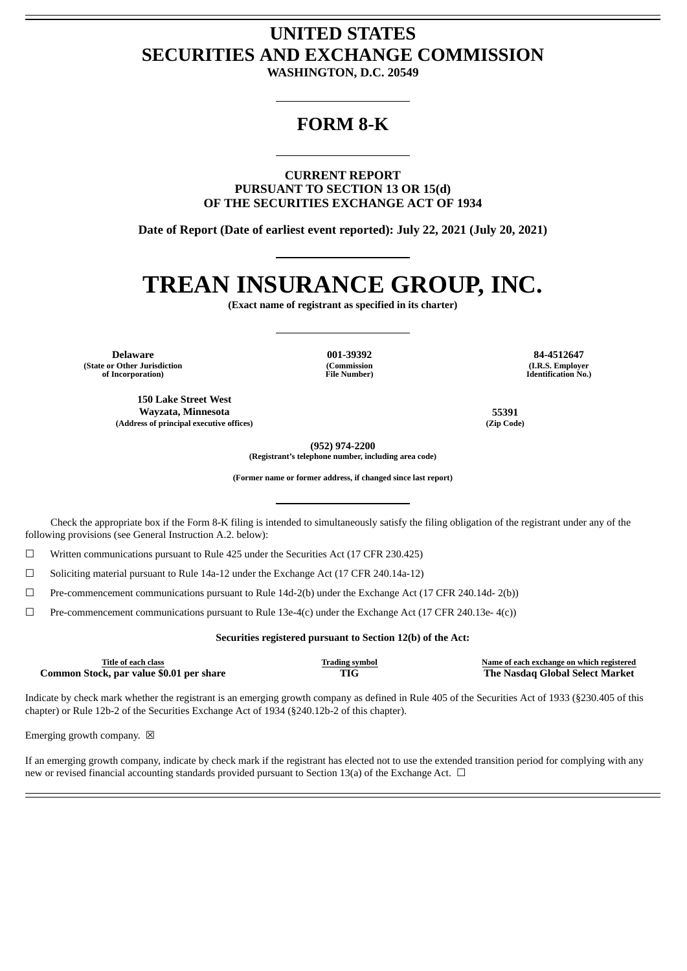## **UNITED STATES SECURITIES AND EXCHANGE COMMISSION**

**WASHINGTON, D.C. 20549**

### **FORM 8-K**

**CURRENT REPORT PURSUANT TO SECTION 13 OR 15(d) OF THE SECURITIES EXCHANGE ACT OF 1934**

**Date of Report (Date of earliest event reported): July 22, 2021 (July 20, 2021)**

# **TREAN INSURANCE GROUP, INC.**

**(Exact name of registrant as specified in its charter)**

**(Commission File Number)**

**Delaware 001-39392 84-4512647 (State or Other Jurisdiction of Incorporation)**

**150 Lake Street West Wayzata, Minnesota 55391 (Address of principal executive offices) (Zip Code)**

**(I.R.S. Employer Identification No.)**

**(952) 974-2200 (Registrant's telephone number, including area code)**

**(Former name or former address, if changed since last report)**

Check the appropriate box if the Form 8-K filing is intended to simultaneously satisfy the filing obligation of the registrant under any of the following provisions (see General Instruction A.2. below):

☐ Written communications pursuant to Rule 425 under the Securities Act (17 CFR 230.425)

☐ Soliciting material pursuant to Rule 14a-12 under the Exchange Act (17 CFR 240.14a-12)

☐ Pre-commencement communications pursuant to Rule 14d-2(b) under the Exchange Act (17 CFR 240.14d- 2(b))

☐ Pre-commencement communications pursuant to Rule 13e-4(c) under the Exchange Act (17 CFR 240.13e- 4(c))

#### **Securities registered pursuant to Section 12(b) of the Act:**

| Title of each class                      | Trading symbol | Name of each exchange on which registered |
|------------------------------------------|----------------|-------------------------------------------|
| Common Stock, par value \$0.01 per share | TIG            | The Nasdag Global Select Market           |

Indicate by check mark whether the registrant is an emerging growth company as defined in Rule 405 of the Securities Act of 1933 (§230.405 of this chapter) or Rule 12b-2 of the Securities Exchange Act of 1934 (§240.12b-2 of this chapter).

Emerging growth company.  $\boxtimes$ 

If an emerging growth company, indicate by check mark if the registrant has elected not to use the extended transition period for complying with any new or revised financial accounting standards provided pursuant to Section 13(a) of the Exchange Act.  $\Box$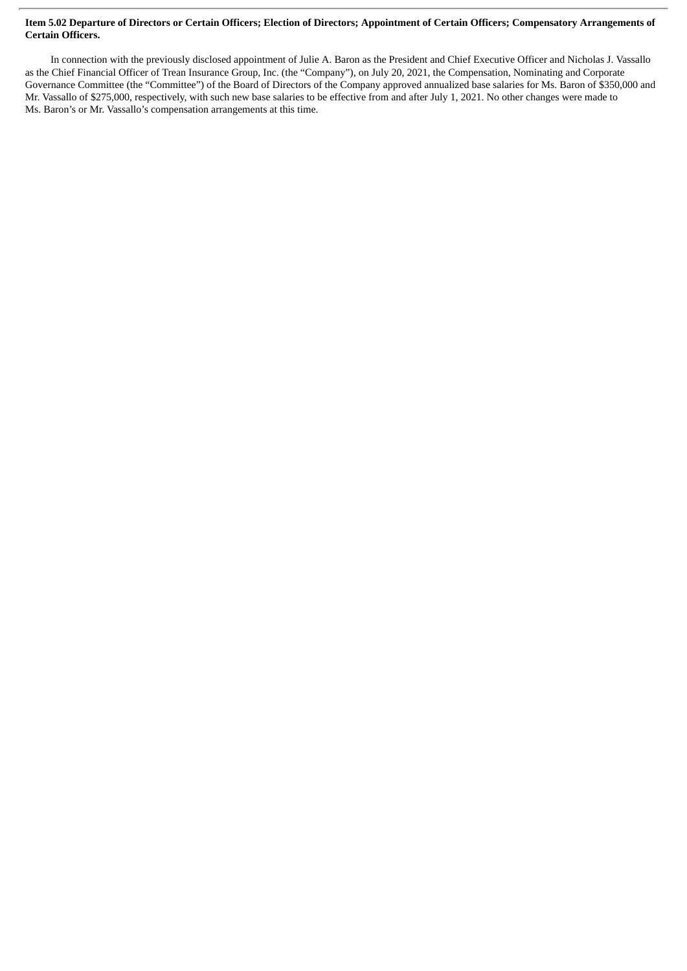#### Item 5.02 Departure of Directors or Certain Officers; Election of Directors; Appointment of Certain Officers; Compensatory Arrangements of **Certain Officers.**

In connection with the previously disclosed appointment of Julie A. Baron as the President and Chief Executive Officer and Nicholas J. Vassallo as the Chief Financial Officer of Trean Insurance Group, Inc. (the "Company"), on July 20, 2021, the Compensation, Nominating and Corporate Governance Committee (the "Committee") of the Board of Directors of the Company approved annualized base salaries for Ms. Baron of \$350,000 and Mr. Vassallo of \$275,000, respectively, with such new base salaries to be effective from and after July 1, 2021. No other changes were made to Ms. Baron's or Mr. Vassallo's compensation arrangements at this time.